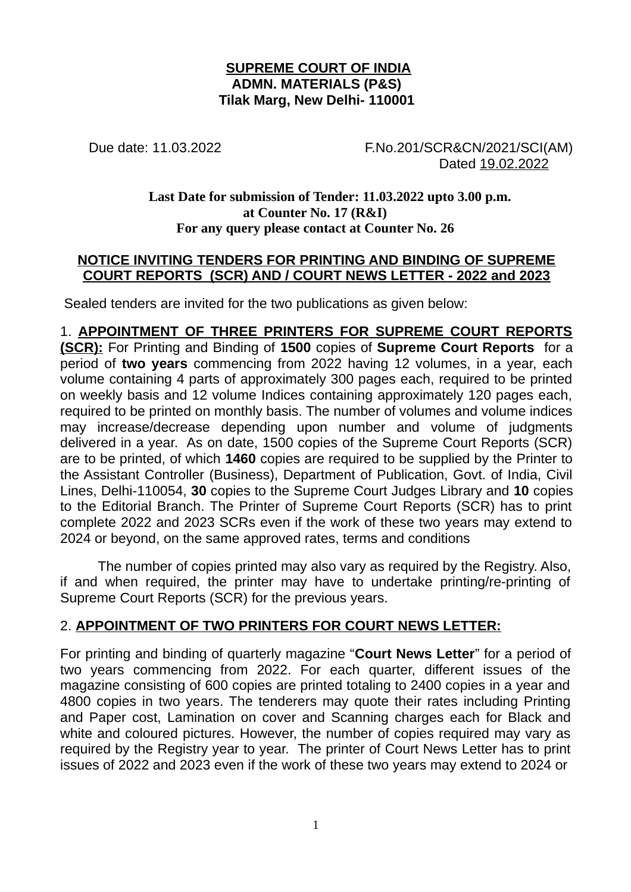#### **SUPREME COURT OF INDIA ADMN. MATERIALS (P&S) Tilak Marg, New Delhi- 110001**

Due date: 11.03.2022 F.No.201/SCR&CN/2021/SCI(AM) Dated 19.02.2022

#### **Last Date for submission of Tender: 11.03.2022 upto 3.00 p.m. at Counter No. 17 (R&I) For any query please contact at Counter No. 26**

#### **NOTICE INVITING TENDERS FOR PRINTING AND BINDING OF SUPREME COURT REPORTS (SCR) AND / COURT NEWS LETTER - 2022 and 2023**

Sealed tenders are invited for the two publications as given below:

1. **APPOINTMENT OF THREE PRINTERS FOR SUPREME COURT REPORTS (SCR):** For Printing and Binding of **1500** copies of **Supreme Court Reports** for a period of **two years** commencing from 2022 having 12 volumes, in a year, each volume containing 4 parts of approximately 300 pages each, required to be printed on weekly basis and 12 volume Indices containing approximately 120 pages each, required to be printed on monthly basis. The number of volumes and volume indices may increase/decrease depending upon number and volume of judgments delivered in a year. As on date, 1500 copies of the Supreme Court Reports (SCR) are to be printed, of which **1460** copies are required to be supplied by the Printer to the Assistant Controller (Business), Department of Publication, Govt. of India, Civil Lines, Delhi-110054, **30** copies to the Supreme Court Judges Library and **10** copies to the Editorial Branch. The Printer of Supreme Court Reports (SCR) has to print complete 2022 and 2023 SCRs even if the work of these two years may extend to 2024 or beyond, on the same approved rates, terms and conditions

The number of copies printed may also vary as required by the Registry. Also, if and when required, the printer may have to undertake printing/re-printing of Supreme Court Reports (SCR) for the previous years.

## 2. **APPOINTMENT OF TWO PRINTERS FOR COURT NEWS LETTER:**

For printing and binding of quarterly magazine "**Court News Letter**" for a period of two years commencing from 2022. For each quarter, different issues of the magazine consisting of 600 copies are printed totaling to 2400 copies in a year and 4800 copies in two years. The tenderers may quote their rates including Printing and Paper cost, Lamination on cover and Scanning charges each for Black and white and coloured pictures. However, the number of copies required may vary as required by the Registry year to year. The printer of Court News Letter has to print issues of 2022 and 2023 even if the work of these two years may extend to 2024 or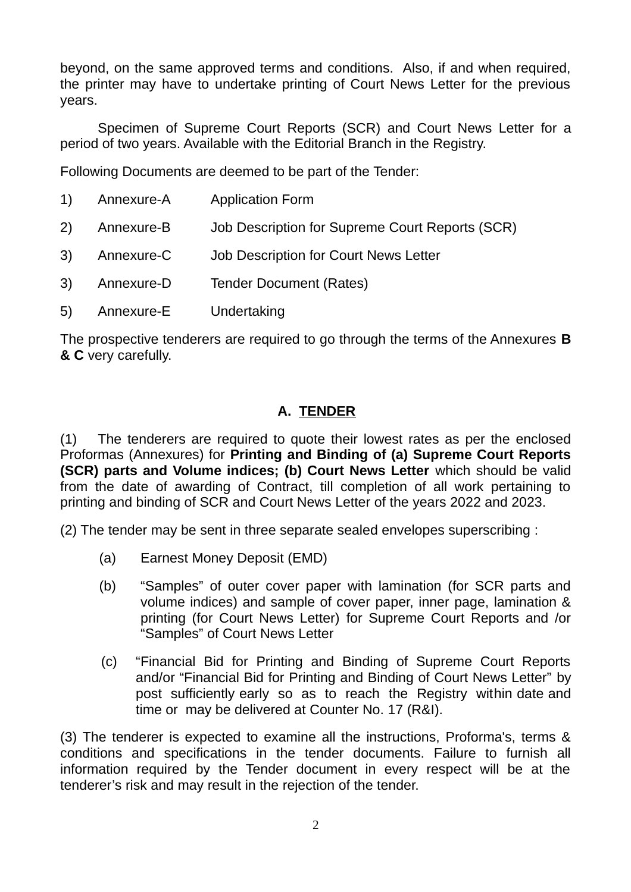beyond, on the same approved terms and conditions. Also, if and when required, the printer may have to undertake printing of Court News Letter for the previous years.

Specimen of Supreme Court Reports (SCR) and Court News Letter for a period of two years. Available with the Editorial Branch in the Registry.

Following Documents are deemed to be part of the Tender:

| 1) Annexure-A | <b>Application Form</b>                         |
|---------------|-------------------------------------------------|
| 2) Annexure-B | Job Description for Supreme Court Reports (SCR) |
| 3) Annexure-C | Job Description for Court News Letter           |
| 3) Annexure-D | <b>Tender Document (Rates)</b>                  |
| 5) Annexure-E | Undertaking                                     |

The prospective tenderers are required to go through the terms of the Annexures **B & C** very carefully.

## **A. TENDER**

(1) The tenderers are required to quote their lowest rates as per the enclosed Proformas (Annexures) for **Printing and Binding of (a) Supreme Court Reports (SCR) parts and Volume indices; (b) Court News Letter** which should be valid from the date of awarding of Contract, till completion of all work pertaining to printing and binding of SCR and Court News Letter of the years 2022 and 2023.

(2) The tender may be sent in three separate sealed envelopes superscribing :

- (a) Earnest Money Deposit (EMD)
- (b) "Samples" of outer cover paper with lamination (for SCR parts and volume indices) and sample of cover paper, inner page, lamination & printing (for Court News Letter) for Supreme Court Reports and /or "Samples" of Court News Letter
- (c) "Financial Bid for Printing and Binding of Supreme Court Reports and/or "Financial Bid for Printing and Binding of Court News Letter" by post sufficiently early so as to reach the Registry within date and time or may be delivered at Counter No. 17 (R&I).

(3) The tenderer is expected to examine all the instructions, Proforma's, terms & conditions and specifications in the tender documents. Failure to furnish all information required by the Tender document in every respect will be at the tenderer's risk and may result in the rejection of the tender.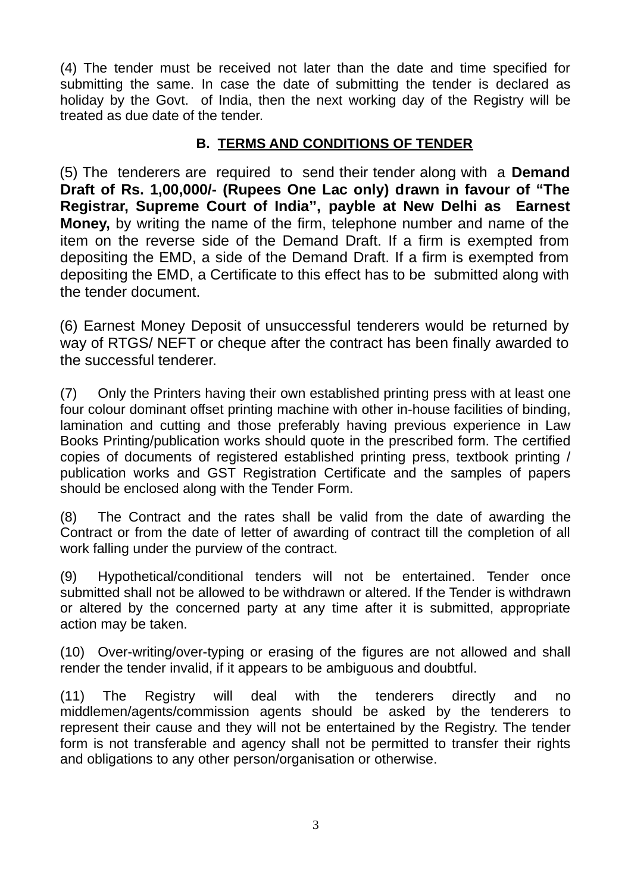(4) The tender must be received not later than the date and time specified for submitting the same. In case the date of submitting the tender is declared as holiday by the Govt. of India, then the next working day of the Registry will be treated as due date of the tender.

## **B. TERMS AND CONDITIONS OF TENDER**

(5) The tenderers are required to send their tender along with a **Demand Draft of Rs. 1,00,000/- (Rupees One Lac only) drawn in favour of "The Registrar, Supreme Court of India'', payble at New Delhi as Earnest Money,** by writing the name of the firm, telephone number and name of the item on the reverse side of the Demand Draft. If a firm is exempted from depositing the EMD, a side of the Demand Draft. If a firm is exempted from depositing the EMD, a Certificate to this effect has to be submitted along with the tender document.

(6) Earnest Money Deposit of unsuccessful tenderers would be returned by way of RTGS/ NEFT or cheque after the contract has been finally awarded to the successful tenderer.

(7) Only the Printers having their own established printing press with at least one four colour dominant offset printing machine with other in-house facilities of binding, lamination and cutting and those preferably having previous experience in Law Books Printing/publication works should quote in the prescribed form. The certified copies of documents of registered established printing press, textbook printing / publication works and GST Registration Certificate and the samples of papers should be enclosed along with the Tender Form.

(8) The Contract and the rates shall be valid from the date of awarding the Contract or from the date of letter of awarding of contract till the completion of all work falling under the purview of the contract.

(9) Hypothetical/conditional tenders will not be entertained. Tender once submitted shall not be allowed to be withdrawn or altered. If the Tender is withdrawn or altered by the concerned party at any time after it is submitted, appropriate action may be taken.

(10) Over-writing/over-typing or erasing of the figures are not allowed and shall render the tender invalid, if it appears to be ambiguous and doubtful.

(11) The Registry will deal with the tenderers directly and no middlemen/agents/commission agents should be asked by the tenderers to represent their cause and they will not be entertained by the Registry. The tender form is not transferable and agency shall not be permitted to transfer their rights and obligations to any other person/organisation or otherwise.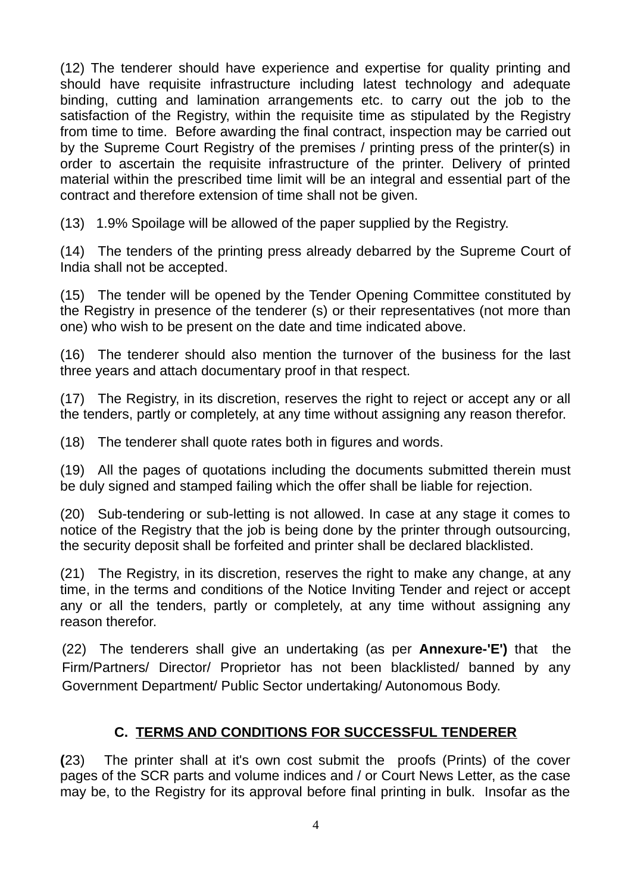(12) The tenderer should have experience and expertise for quality printing and should have requisite infrastructure including latest technology and adequate binding, cutting and lamination arrangements etc. to carry out the job to the satisfaction of the Registry, within the requisite time as stipulated by the Registry from time to time. Before awarding the final contract, inspection may be carried out by the Supreme Court Registry of the premises / printing press of the printer(s) in order to ascertain the requisite infrastructure of the printer. Delivery of printed material within the prescribed time limit will be an integral and essential part of the contract and therefore extension of time shall not be given.

(13) 1.9% Spoilage will be allowed of the paper supplied by the Registry.

(14) The tenders of the printing press already debarred by the Supreme Court of India shall not be accepted.

(15) The tender will be opened by the Tender Opening Committee constituted by the Registry in presence of the tenderer (s) or their representatives (not more than one) who wish to be present on the date and time indicated above.

(16) The tenderer should also mention the turnover of the business for the last three years and attach documentary proof in that respect.

(17) The Registry, in its discretion, reserves the right to reject or accept any or all the tenders, partly or completely, at any time without assigning any reason therefor.

(18) The tenderer shall quote rates both in figures and words.

(19) All the pages of quotations including the documents submitted therein must be duly signed and stamped failing which the offer shall be liable for rejection.

(20) Sub-tendering or sub-letting is not allowed. In case at any stage it comes to notice of the Registry that the job is being done by the printer through outsourcing, the security deposit shall be forfeited and printer shall be declared blacklisted.

(21) The Registry, in its discretion, reserves the right to make any change, at any time, in the terms and conditions of the Notice Inviting Tender and reject or accept any or all the tenders, partly or completely, at any time without assigning any reason therefor.

(22) The tenderers shall give an undertaking (as per **Annexure-'E')** that the Firm/Partners/ Director/ Proprietor has not been blacklisted/ banned by any Government Department/ Public Sector undertaking/ Autonomous Body.

# **C. TERMS AND CONDITIONS FOR SUCCESSFUL TENDERER**

**(**23) The printer shall at it's own cost submit the proofs (Prints) of the cover pages of the SCR parts and volume indices and / or Court News Letter, as the case may be, to the Registry for its approval before final printing in bulk. Insofar as the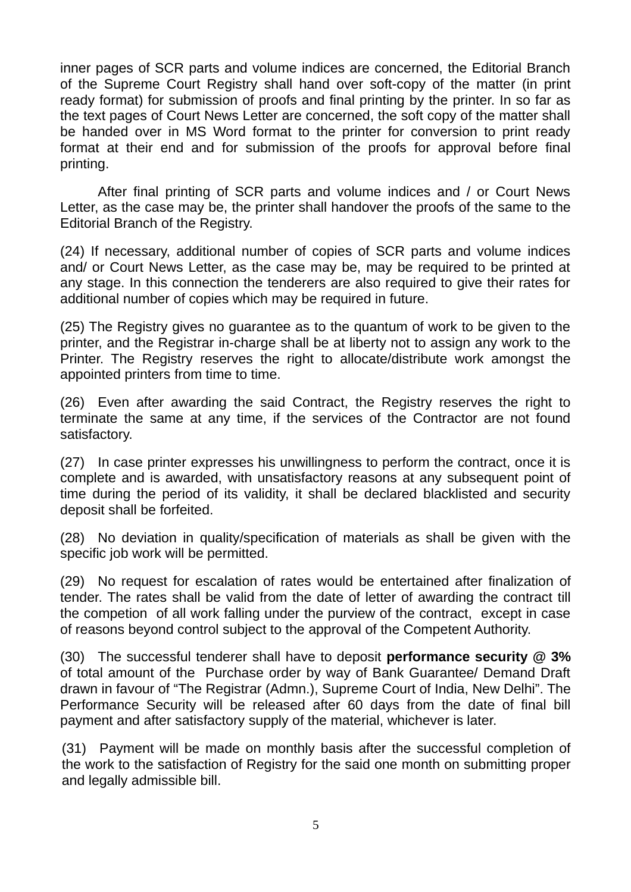inner pages of SCR parts and volume indices are concerned, the Editorial Branch of the Supreme Court Registry shall hand over soft-copy of the matter (in print ready format) for submission of proofs and final printing by the printer. In so far as the text pages of Court News Letter are concerned, the soft copy of the matter shall be handed over in MS Word format to the printer for conversion to print ready format at their end and for submission of the proofs for approval before final printing.

After final printing of SCR parts and volume indices and / or Court News Letter, as the case may be, the printer shall handover the proofs of the same to the Editorial Branch of the Registry.

(24) If necessary, additional number of copies of SCR parts and volume indices and/ or Court News Letter, as the case may be, may be required to be printed at any stage. In this connection the tenderers are also required to give their rates for additional number of copies which may be required in future.

(25) The Registry gives no guarantee as to the quantum of work to be given to the printer, and the Registrar in-charge shall be at liberty not to assign any work to the Printer. The Registry reserves the right to allocate/distribute work amongst the appointed printers from time to time.

(26) Even after awarding the said Contract, the Registry reserves the right to terminate the same at any time, if the services of the Contractor are not found satisfactory.

(27) In case printer expresses his unwillingness to perform the contract, once it is complete and is awarded, with unsatisfactory reasons at any subsequent point of time during the period of its validity, it shall be declared blacklisted and security deposit shall be forfeited.

(28) No deviation in quality/specification of materials as shall be given with the specific job work will be permitted.

(29) No request for escalation of rates would be entertained after finalization of tender. The rates shall be valid from the date of letter of awarding the contract till the competion of all work falling under the purview of the contract, except in case of reasons beyond control subject to the approval of the Competent Authority.

(30) The successful tenderer shall have to deposit **performance security @ 3%** of total amount of the Purchase order by way of Bank Guarantee/ Demand Draft drawn in favour of "The Registrar (Admn.), Supreme Court of India, New Delhi". The Performance Security will be released after 60 days from the date of final bill payment and after satisfactory supply of the material, whichever is later.

(31) Payment will be made on monthly basis after the successful completion of the work to the satisfaction of Registry for the said one month on submitting proper and legally admissible bill.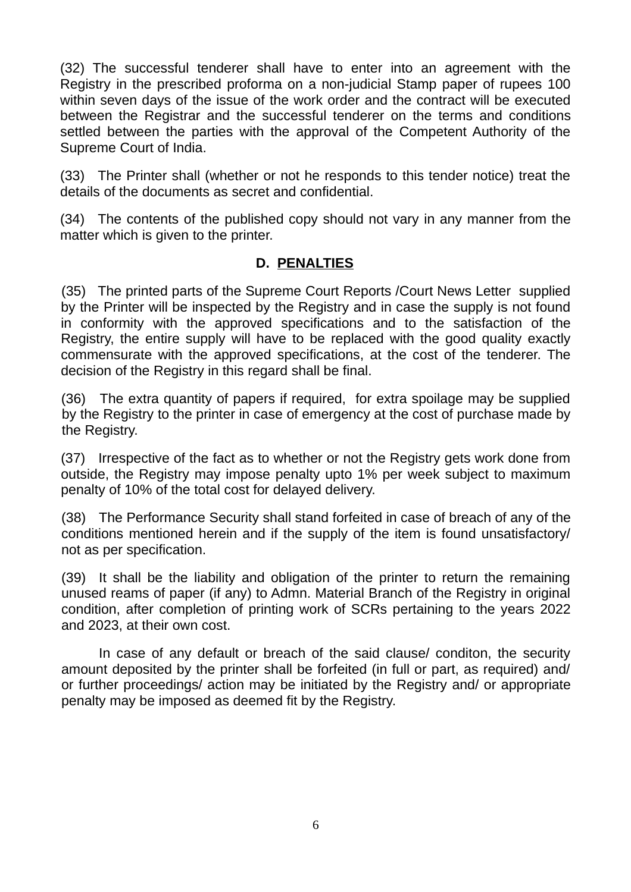(32) The successful tenderer shall have to enter into an agreement with the Registry in the prescribed proforma on a non-judicial Stamp paper of rupees 100 within seven days of the issue of the work order and the contract will be executed between the Registrar and the successful tenderer on the terms and conditions settled between the parties with the approval of the Competent Authority of the Supreme Court of India.

(33) The Printer shall (whether or not he responds to this tender notice) treat the details of the documents as secret and confidential.

(34) The contents of the published copy should not vary in any manner from the matter which is given to the printer.

#### **D. PENALTIES**

(35) The printed parts of the Supreme Court Reports /Court News Letter supplied by the Printer will be inspected by the Registry and in case the supply is not found in conformity with the approved specifications and to the satisfaction of the Registry, the entire supply will have to be replaced with the good quality exactly commensurate with the approved specifications, at the cost of the tenderer. The decision of the Registry in this regard shall be final.

(36) The extra quantity of papers if required, for extra spoilage may be supplied by the Registry to the printer in case of emergency at the cost of purchase made by the Registry.

(37) Irrespective of the fact as to whether or not the Registry gets work done from outside, the Registry may impose penalty upto 1% per week subject to maximum penalty of 10% of the total cost for delayed delivery.

(38) The Performance Security shall stand forfeited in case of breach of any of the conditions mentioned herein and if the supply of the item is found unsatisfactory/ not as per specification.

(39) It shall be the liability and obligation of the printer to return the remaining unused reams of paper (if any) to Admn. Material Branch of the Registry in original condition, after completion of printing work of SCRs pertaining to the years 2022 and 2023, at their own cost.

In case of any default or breach of the said clause/ conditon, the security amount deposited by the printer shall be forfeited (in full or part, as required) and/ or further proceedings/ action may be initiated by the Registry and/ or appropriate penalty may be imposed as deemed fit by the Registry.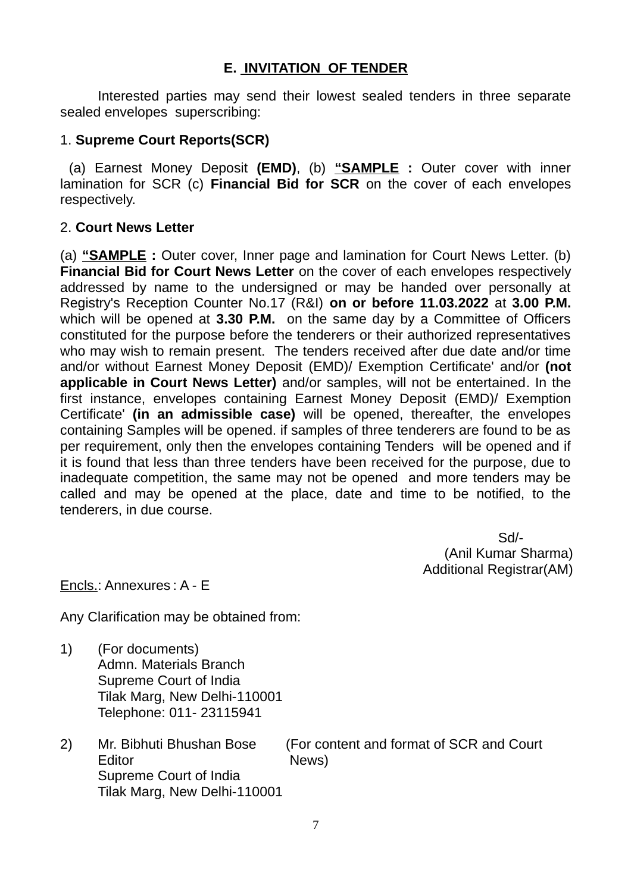#### **E. INVITATION OF TENDER**

Interested parties may send their lowest sealed tenders in three separate sealed envelopes superscribing:

#### 1. **Supreme Court Reports(SCR)**

 (a) Earnest Money Deposit **(EMD)**, (b) **"SAMPLE :** Outer cover with inner lamination for SCR (c) **Financial Bid for SCR** on the cover of each envelopes respectively.

#### 2. **Court News Letter**

(a) **"SAMPLE :** Outer cover, Inner page and lamination for Court News Letter. (b) **Financial Bid for Court News Letter** on the cover of each envelopes respectively addressed by name to the undersigned or may be handed over personally at Registry's Reception Counter No.17 (R&I) **on or before 11.03.2022** at **3.00 P.M.** which will be opened at **3.30 P.M.** on the same day by a Committee of Officers constituted for the purpose before the tenderers or their authorized representatives who may wish to remain present. The tenders received after due date and/or time and/or without Earnest Money Deposit (EMD)/ Exemption Certificate' and/or **(not applicable in Court News Letter)** and/or samples, will not be entertained. In the first instance, envelopes containing Earnest Money Deposit (EMD)/ Exemption Certificate' **(in an admissible case)** will be opened, thereafter, the envelopes containing Samples will be opened. if samples of three tenderers are found to be as per requirement, only then the envelopes containing Tenders will be opened and if it is found that less than three tenders have been received for the purpose, due to inadequate competition, the same may not be opened and more tenders may be called and may be opened at the place, date and time to be notified, to the tenderers, in due course.

> Sd/- (Anil Kumar Sharma) Additional Registrar(AM)

Encls.: Annexures : A - E

Any Clarification may be obtained from:

- 1) (For documents) Admn. Materials Branch Supreme Court of India Tilak Marg, New Delhi-110001 Telephone: 011- 23115941
- 2) Mr. Bibhuti Bhushan Bose (For content and format of SCR and Court Editor News Supreme Court of India Tilak Marg, New Delhi-110001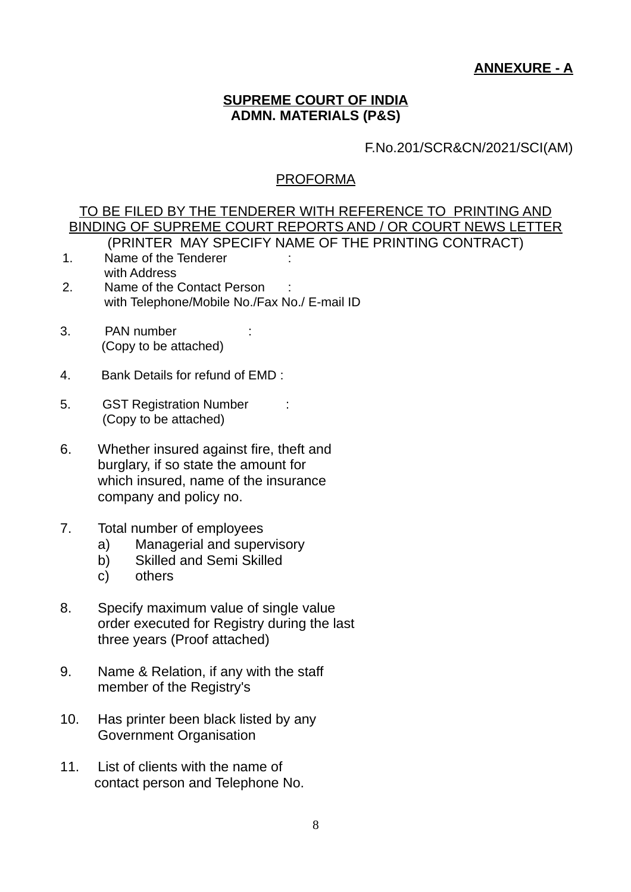### **ANNEXURE - A**

# **SUPREME COURT OF INDIA ADMN. MATERIALS (P&S)**

# F.No.201/SCR&CN/2021/SCI(AM)

#### PROFORMA

|     | TO BE FILED BY THE TENDERER WITH REFERENCE TO PRINTING AND<br>BINDING OF SUPREME COURT REPORTS AND / OR COURT NEWS LETTER                         |
|-----|---------------------------------------------------------------------------------------------------------------------------------------------------|
| 1.  | (PRINTER MAY SPECIFY NAME OF THE PRINTING CONTRACT)<br>Name of the Tenderer                                                                       |
| 2.  | with Address<br>Name of the Contact Person<br>with Telephone/Mobile No./Fax No./ E-mail ID                                                        |
| 3.  | PAN number<br>(Copy to be attached)                                                                                                               |
| 4.  | Bank Details for refund of EMD :                                                                                                                  |
| 5.  | <b>GST Registration Number</b><br>(Copy to be attached)                                                                                           |
| 6.  | Whether insured against fire, theft and<br>burglary, if so state the amount for<br>which insured, name of the insurance<br>company and policy no. |
| 7.  | Total number of employees<br>Managerial and supervisory<br>a)<br><b>Skilled and Semi Skilled</b><br>b)<br>$\mathsf{C}$<br>others                  |
| 8.  | Specify maximum value of single value<br>order executed for Registry during the last<br>three years (Proof attached)                              |
| 9.  | Name & Relation, if any with the staff<br>member of the Registry's                                                                                |
| 10. | Has printer been black listed by any<br>Government Organisation                                                                                   |
| 11. | List of clients with the name of<br>contact person and Telephone No.                                                                              |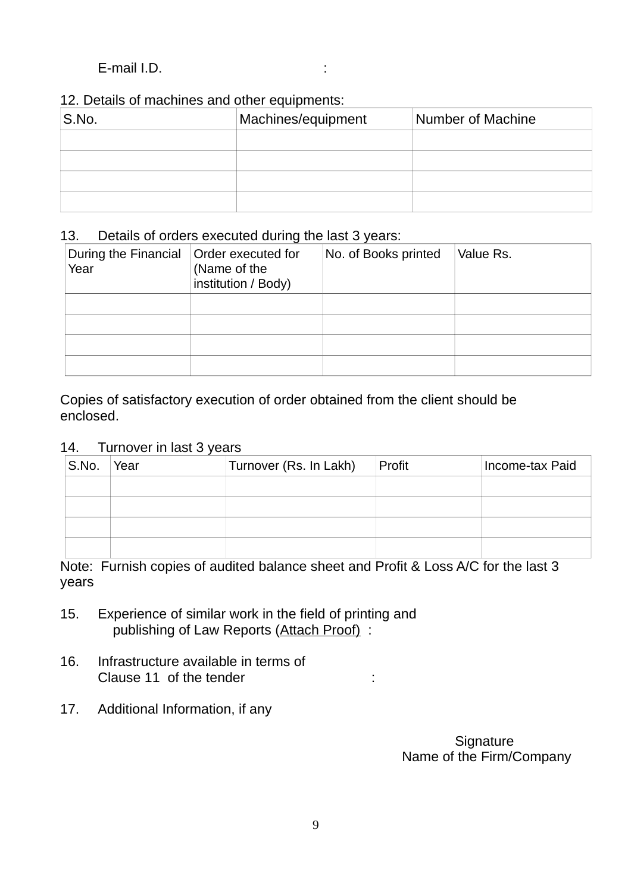#### E-mail I.D. :

#### 12. Details of machines and other equipments:

| S.No. | Machines/equipment | Number of Machine |
|-------|--------------------|-------------------|
|       |                    |                   |
|       |                    |                   |
|       |                    |                   |
|       |                    |                   |

#### 13. Details of orders executed during the last 3 years:

| During the Financial<br>Year | Order executed for<br>(Name of the<br>institution / Body) | No. of Books printed | Value Rs. |
|------------------------------|-----------------------------------------------------------|----------------------|-----------|
|                              |                                                           |                      |           |
|                              |                                                           |                      |           |
|                              |                                                           |                      |           |
|                              |                                                           |                      |           |

Copies of satisfactory execution of order obtained from the client should be enclosed.

#### 14. Turnover in last 3 years

| S.No. | Year | Turnover (Rs. In Lakh) | Profit | Income-tax Paid |
|-------|------|------------------------|--------|-----------------|
|       |      |                        |        |                 |
|       |      |                        |        |                 |
|       |      |                        |        |                 |
|       |      |                        |        |                 |

Note: Furnish copies of audited balance sheet and Profit & Loss A/C for the last 3 years

- 15. Experience of similar work in the field of printing and publishing of Law Reports (Attach Proof) :
- 16. Infrastructure available in terms of Clause 11 of the tender in the state of the tender in the state of the state of the state of the state of the state of the state of the state of the state of the state of the state of the state of the state of the state of
- 17. Additional Information, if any

**Signature** Name of the Firm/Company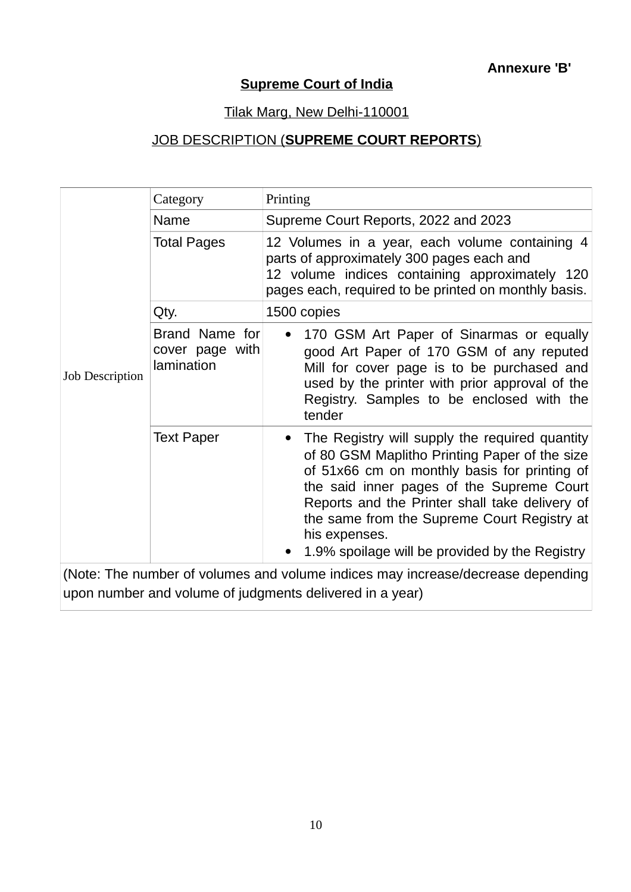## **Supreme Court of India**

### Tilak Marg, New Delhi-110001

# JOB DESCRIPTION ( **SUPREME COURT REPORTS**)

| Category                                        | Printing                                                                                                                                                                                                                                                                                                                                                         |
|-------------------------------------------------|------------------------------------------------------------------------------------------------------------------------------------------------------------------------------------------------------------------------------------------------------------------------------------------------------------------------------------------------------------------|
| Name                                            | Supreme Court Reports, 2022 and 2023                                                                                                                                                                                                                                                                                                                             |
| <b>Total Pages</b>                              | 12 Volumes in a year, each volume containing 4<br>parts of approximately 300 pages each and<br>12 volume indices containing approximately 120<br>pages each, required to be printed on monthly basis.                                                                                                                                                            |
| Qty.                                            | 1500 copies                                                                                                                                                                                                                                                                                                                                                      |
| Brand Name for<br>cover page with<br>lamination | 170 GSM Art Paper of Sinarmas or equally<br>good Art Paper of 170 GSM of any reputed<br>Mill for cover page is to be purchased and<br>used by the printer with prior approval of the<br>Registry. Samples to be enclosed with the<br>tender                                                                                                                      |
| <b>Text Paper</b>                               | The Registry will supply the required quantity<br>of 80 GSM Maplitho Printing Paper of the size<br>of 51x66 cm on monthly basis for printing of<br>the said inner pages of the Supreme Court<br>Reports and the Printer shall take delivery of<br>the same from the Supreme Court Registry at<br>his expenses.<br>1.9% spoilage will be provided by the Registry |
|                                                 |                                                                                                                                                                                                                                                                                                                                                                  |

(Note: The number of volumes and volume indices may increase/decrease depending upon number and volume of judgments delivered in a year)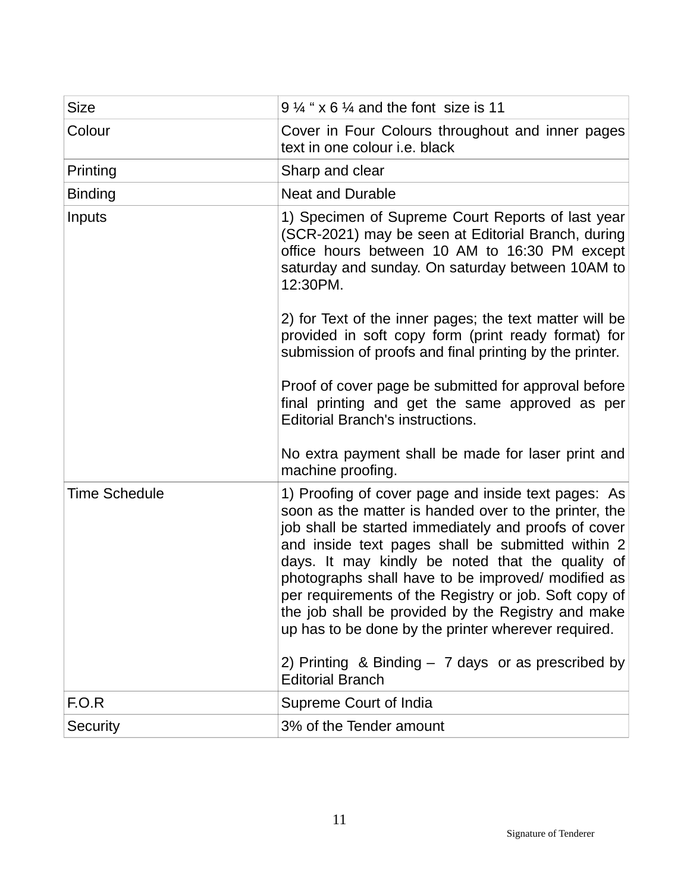| <b>Size</b>          | $9\frac{1}{4}$ " x 6 $\frac{1}{4}$ and the font size is 11                                                                                                                                                                                                                                                                                                                                                                                                                                                                                                                                   |
|----------------------|----------------------------------------------------------------------------------------------------------------------------------------------------------------------------------------------------------------------------------------------------------------------------------------------------------------------------------------------------------------------------------------------------------------------------------------------------------------------------------------------------------------------------------------------------------------------------------------------|
| Colour               | Cover in Four Colours throughout and inner pages<br>text in one colour <i>i.e.</i> black                                                                                                                                                                                                                                                                                                                                                                                                                                                                                                     |
| Printing             | Sharp and clear                                                                                                                                                                                                                                                                                                                                                                                                                                                                                                                                                                              |
| <b>Binding</b>       | Neat and Durable                                                                                                                                                                                                                                                                                                                                                                                                                                                                                                                                                                             |
| Inputs               | 1) Specimen of Supreme Court Reports of last year<br>(SCR-2021) may be seen at Editorial Branch, during<br>office hours between 10 AM to 16:30 PM except<br>saturday and sunday. On saturday between 10AM to<br>12:30PM.<br>2) for Text of the inner pages; the text matter will be                                                                                                                                                                                                                                                                                                          |
|                      | provided in soft copy form (print ready format) for<br>submission of proofs and final printing by the printer.                                                                                                                                                                                                                                                                                                                                                                                                                                                                               |
|                      | Proof of cover page be submitted for approval before<br>final printing and get the same approved as per<br><b>Editorial Branch's instructions.</b>                                                                                                                                                                                                                                                                                                                                                                                                                                           |
|                      | No extra payment shall be made for laser print and<br>machine proofing.                                                                                                                                                                                                                                                                                                                                                                                                                                                                                                                      |
| <b>Time Schedule</b> | 1) Proofing of cover page and inside text pages: As<br>soon as the matter is handed over to the printer, the<br>job shall be started immediately and proofs of cover<br>and inside text pages shall be submitted within 2<br>days. It may kindly be noted that the quality of<br>photographs shall have to be improved/ modified as<br>per requirements of the Registry or job. Soft copy of<br>the job shall be provided by the Registry and make<br>up has to be done by the printer wherever required.<br>2) Printing & Binding $-$ 7 days or as prescribed by<br><b>Editorial Branch</b> |
| F.O.R                | Supreme Court of India                                                                                                                                                                                                                                                                                                                                                                                                                                                                                                                                                                       |
| Security             | 3% of the Tender amount                                                                                                                                                                                                                                                                                                                                                                                                                                                                                                                                                                      |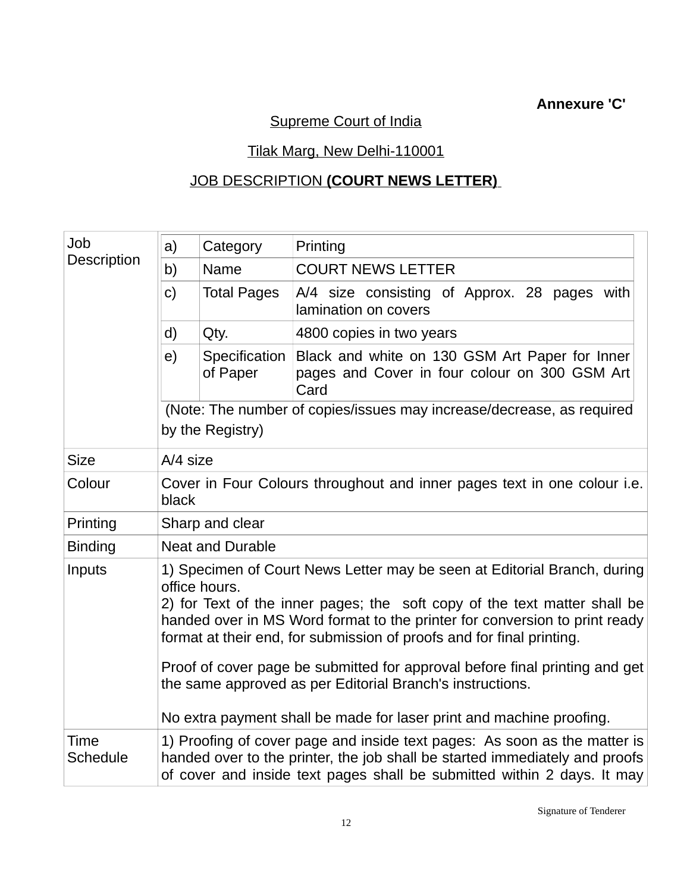## **Annexure 'C'**

# Supreme Court of India

# Tilak Marg, New Delhi-110001

# JOB DESCRIPTION **(COURT NEWS LETTER)**

| Job                                                                                                                                                                                                                                                                                                                                     | a)                                                                                                                                                                                                                                  | Category                  | Printing                                                                                                |  |
|-----------------------------------------------------------------------------------------------------------------------------------------------------------------------------------------------------------------------------------------------------------------------------------------------------------------------------------------|-------------------------------------------------------------------------------------------------------------------------------------------------------------------------------------------------------------------------------------|---------------------------|---------------------------------------------------------------------------------------------------------|--|
| Description                                                                                                                                                                                                                                                                                                                             | b)                                                                                                                                                                                                                                  | <b>Name</b>               | <b>COURT NEWS LETTER</b>                                                                                |  |
|                                                                                                                                                                                                                                                                                                                                         | $\mathsf{C}$                                                                                                                                                                                                                        | <b>Total Pages</b>        | A/4 size consisting of Approx. 28 pages with<br>lamination on covers                                    |  |
|                                                                                                                                                                                                                                                                                                                                         | d)                                                                                                                                                                                                                                  | Qty.                      | 4800 copies in two years                                                                                |  |
|                                                                                                                                                                                                                                                                                                                                         | e)                                                                                                                                                                                                                                  | Specification<br>of Paper | Black and white on 130 GSM Art Paper for Inner<br>pages and Cover in four colour on 300 GSM Art<br>Card |  |
|                                                                                                                                                                                                                                                                                                                                         |                                                                                                                                                                                                                                     |                           | (Note: The number of copies/issues may increase/decrease, as required                                   |  |
|                                                                                                                                                                                                                                                                                                                                         | by the Registry)                                                                                                                                                                                                                    |                           |                                                                                                         |  |
| <b>Size</b>                                                                                                                                                                                                                                                                                                                             | A/4 size                                                                                                                                                                                                                            |                           |                                                                                                         |  |
| Colour                                                                                                                                                                                                                                                                                                                                  | Cover in Four Colours throughout and inner pages text in one colour <i>i.e.</i><br>black                                                                                                                                            |                           |                                                                                                         |  |
| Printing                                                                                                                                                                                                                                                                                                                                | Sharp and clear                                                                                                                                                                                                                     |                           |                                                                                                         |  |
| <b>Binding</b>                                                                                                                                                                                                                                                                                                                          | <b>Neat and Durable</b>                                                                                                                                                                                                             |                           |                                                                                                         |  |
| Inputs<br>1) Specimen of Court News Letter may be seen at Editorial Branch, during<br>office hours.<br>2) for Text of the inner pages; the soft copy of the text matter shall be<br>handed over in MS Word format to the printer for conversion to print ready<br>format at their end, for submission of proofs and for final printing. |                                                                                                                                                                                                                                     |                           |                                                                                                         |  |
|                                                                                                                                                                                                                                                                                                                                         | Proof of cover page be submitted for approval before final printing and get<br>the same approved as per Editorial Branch's instructions.<br>No extra payment shall be made for laser print and machine proofing.                    |                           |                                                                                                         |  |
|                                                                                                                                                                                                                                                                                                                                         |                                                                                                                                                                                                                                     |                           |                                                                                                         |  |
| Time<br><b>Schedule</b>                                                                                                                                                                                                                                                                                                                 | 1) Proofing of cover page and inside text pages: As soon as the matter is<br>handed over to the printer, the job shall be started immediately and proofs<br>of cover and inside text pages shall be submitted within 2 days. It may |                           |                                                                                                         |  |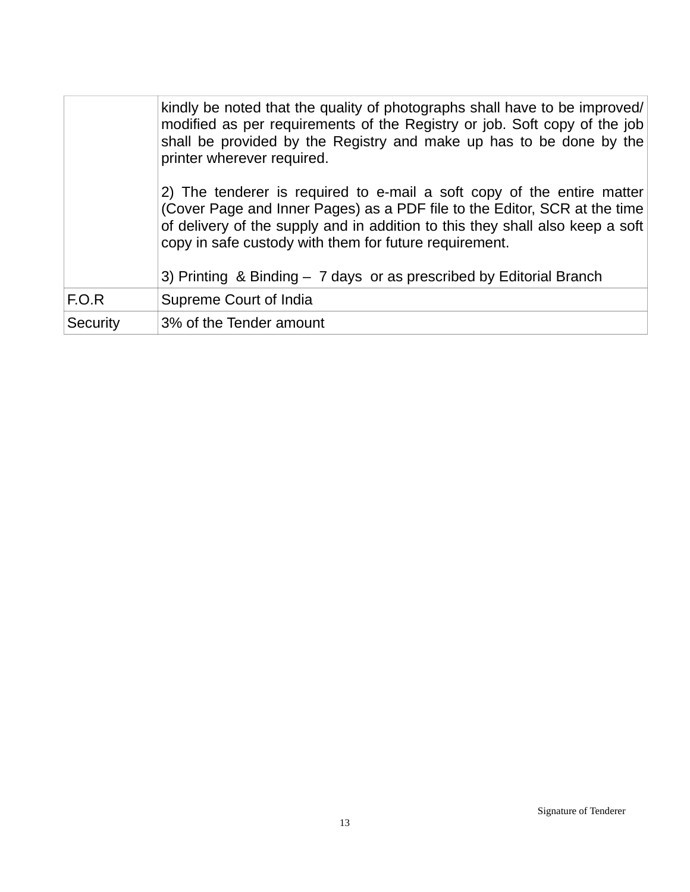|          | kindly be noted that the quality of photographs shall have to be improved/<br>modified as per requirements of the Registry or job. Soft copy of the job<br>shall be provided by the Registry and make up has to be done by the<br>printer wherever required.                                                                                                           |
|----------|------------------------------------------------------------------------------------------------------------------------------------------------------------------------------------------------------------------------------------------------------------------------------------------------------------------------------------------------------------------------|
|          | 2) The tenderer is required to e-mail a soft copy of the entire matter<br>(Cover Page and Inner Pages) as a PDF file to the Editor, SCR at the time<br>of delivery of the supply and in addition to this they shall also keep a soft<br>copy in safe custody with them for future requirement.<br>3) Printing & Binding $-7$ days or as prescribed by Editorial Branch |
| F.O.R    | Supreme Court of India                                                                                                                                                                                                                                                                                                                                                 |
|          |                                                                                                                                                                                                                                                                                                                                                                        |
| Security | 3% of the Tender amount                                                                                                                                                                                                                                                                                                                                                |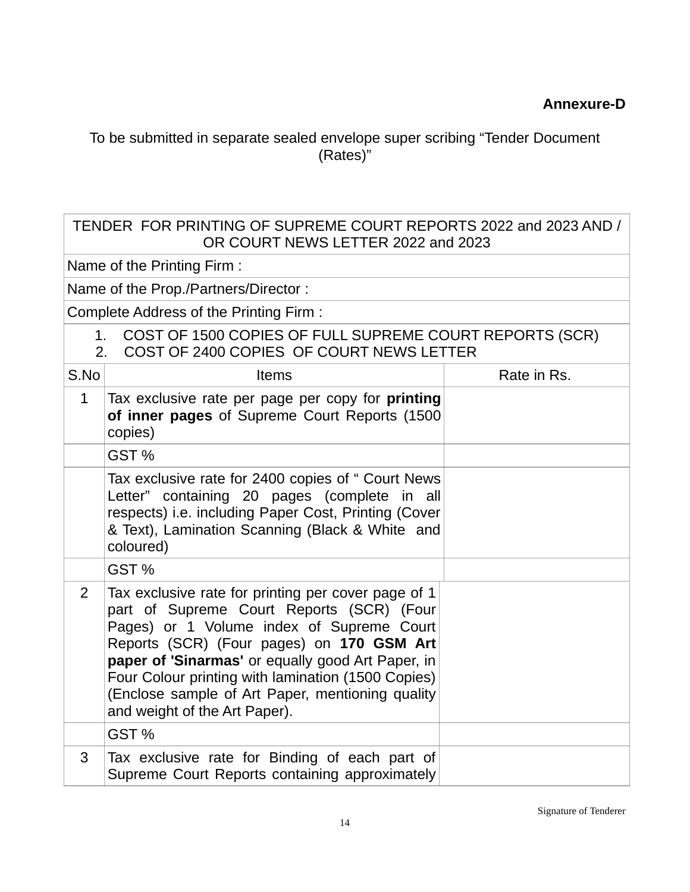To be submitted in separate sealed envelope super scribing "Tender Document (Rates)"

#### TENDER FOR PRINTING OF SUPREME COURT REPORTS 2022 and 2023 AND / OR COURT NEWS LETTER 2022 and 2023

Name of the Printing Firm :

Name of the Prop./Partners/Director :

Complete Address of the Printing Firm :

- 1. COST OF 1500 COPIES OF FULL SUPREME COURT REPORTS (SCR)
- 2. COST OF 2400 COPIES OF COURT NEWS LETTER

| S.No           | <b>Items</b>                                                                                                                                                                                                                                                                                                                                                                               | Rate in Rs. |
|----------------|--------------------------------------------------------------------------------------------------------------------------------------------------------------------------------------------------------------------------------------------------------------------------------------------------------------------------------------------------------------------------------------------|-------------|
| $\mathbf 1$    | Tax exclusive rate per page per copy for printing<br>of inner pages of Supreme Court Reports (1500)<br>copies)                                                                                                                                                                                                                                                                             |             |
|                | GST %                                                                                                                                                                                                                                                                                                                                                                                      |             |
|                | Tax exclusive rate for 2400 copies of " Court News<br>Letter" containing 20 pages (complete in all<br>respects) i.e. including Paper Cost, Printing (Cover<br>& Text), Lamination Scanning (Black & White and<br>coloured)                                                                                                                                                                 |             |
|                | GST %                                                                                                                                                                                                                                                                                                                                                                                      |             |
| $\overline{2}$ | Tax exclusive rate for printing per cover page of 1<br>part of Supreme Court Reports (SCR) (Four<br>Pages) or 1 Volume index of Supreme Court<br>Reports (SCR) (Four pages) on 170 GSM Art<br>paper of 'Sinarmas' or equally good Art Paper, in<br>Four Colour printing with lamination (1500 Copies)<br>(Enclose sample of Art Paper, mentioning quality<br>and weight of the Art Paper). |             |
|                | GST%                                                                                                                                                                                                                                                                                                                                                                                       |             |
| 3              | Tax exclusive rate for Binding of each part of<br>Supreme Court Reports containing approximately                                                                                                                                                                                                                                                                                           |             |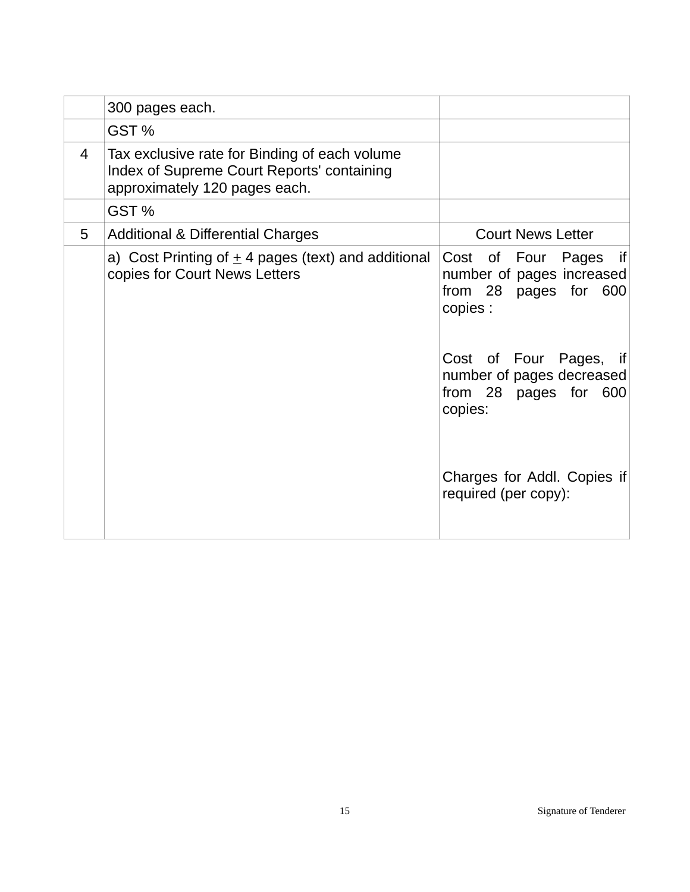|   | 300 pages each.                                                                                                              |                                                                                         |
|---|------------------------------------------------------------------------------------------------------------------------------|-----------------------------------------------------------------------------------------|
|   | GST <sub>%</sub>                                                                                                             |                                                                                         |
| 4 | Tax exclusive rate for Binding of each volume<br>Index of Supreme Court Reports' containing<br>approximately 120 pages each. |                                                                                         |
|   | GST%                                                                                                                         |                                                                                         |
| 5 | Additional & Differential Charges                                                                                            | <b>Court News Letter</b>                                                                |
|   | a) Cost Printing of $\pm$ 4 pages (text) and additional<br>copies for Court News Letters                                     | Cost of Four Pages if<br>number of pages increased<br>from 28 pages for 600<br>copies : |
|   |                                                                                                                              | Cost of Four Pages, if<br>number of pages decreased<br>from 28 pages for 600<br>copies: |
|   |                                                                                                                              | Charges for Addl. Copies if<br>required (per copy):                                     |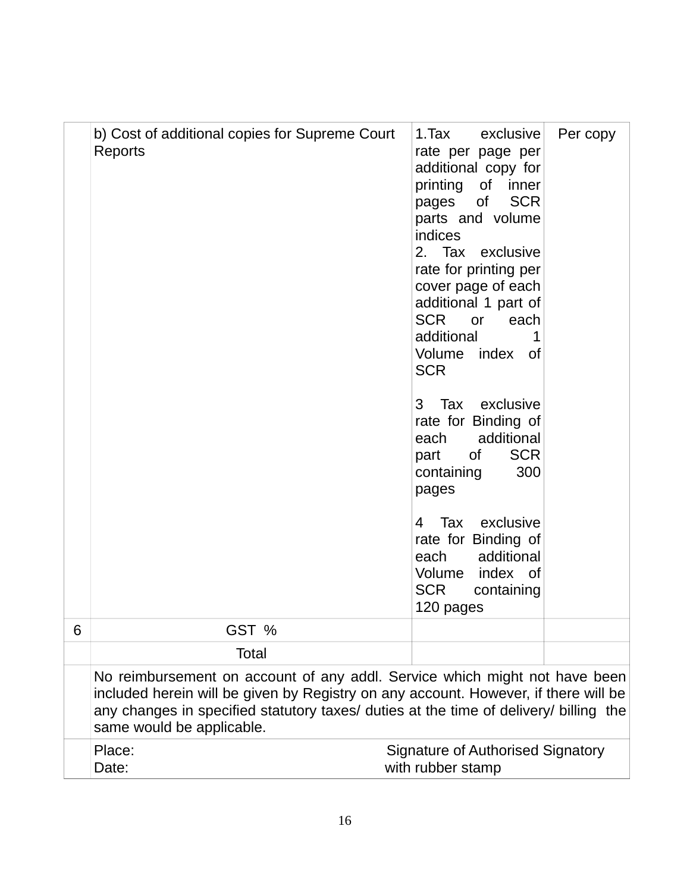|   | b) Cost of additional copies for Supreme Court<br>Reports                                                                                                                                                                                                                               | 1. Tax<br>exclusive<br>Per copy<br>rate per page per<br>additional copy for<br>printing of inner<br>pages of<br><b>SCR</b><br>parts and volume<br>indices<br>2. Tax exclusive<br>rate for printing per<br>cover page of each<br>additional 1 part of<br><b>SCR</b><br><b>Or</b><br>each<br>additional<br>1<br>Volume index of<br><b>SCR</b><br>Tax exclusive<br>3<br>rate for Binding of<br>additional<br>each<br><b>SCR</b><br>0f<br>part<br>300<br>containing<br>pages<br>Tax exclusive<br>4<br>rate for Binding of<br>each additional<br>Volume index of<br>SCR<br>containing<br>120 pages |
|---|-----------------------------------------------------------------------------------------------------------------------------------------------------------------------------------------------------------------------------------------------------------------------------------------|-----------------------------------------------------------------------------------------------------------------------------------------------------------------------------------------------------------------------------------------------------------------------------------------------------------------------------------------------------------------------------------------------------------------------------------------------------------------------------------------------------------------------------------------------------------------------------------------------|
| 6 | GST %                                                                                                                                                                                                                                                                                   |                                                                                                                                                                                                                                                                                                                                                                                                                                                                                                                                                                                               |
|   | <b>Total</b>                                                                                                                                                                                                                                                                            |                                                                                                                                                                                                                                                                                                                                                                                                                                                                                                                                                                                               |
|   | No reimbursement on account of any addl. Service which might not have been<br>included herein will be given by Registry on any account. However, if there will be<br>any changes in specified statutory taxes/ duties at the time of delivery/ billing the<br>same would be applicable. |                                                                                                                                                                                                                                                                                                                                                                                                                                                                                                                                                                                               |
|   | Place:<br>Date:                                                                                                                                                                                                                                                                         | Signature of Authorised Signatory<br>with rubber stamp                                                                                                                                                                                                                                                                                                                                                                                                                                                                                                                                        |